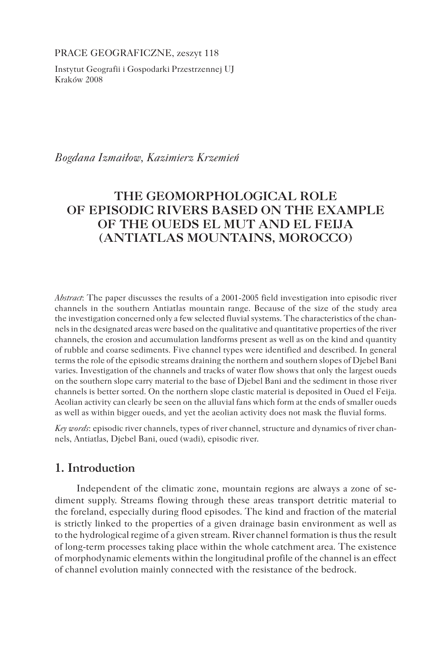PRACE GEOGRAFICZNE, zeszyt 118

Instytut Geografii i Gospodarki Przestrzennej UJ Kraków 2008

*Bogdana Izmaiłow, Kazimierz Krzemień*

# **THE GEOMORPHOLOGICAL ROLE OF EPISODIC RIVERS BASED ON THE EXAMPLE OF THE OUEDS EL MUT AND EL FEIJA (ANTIATLAS MOUNTAINS, MOROCCO)**

*Abstract*: The paper discusses the results of a 2001-2005 field investigation into episodic river channels in the southern Antiatlas mountain range. Because of the size of the study area the investigation concerned only a few selected fluvial systems. The characteristics of the channels in the designated areas were based on the qualitative and quantitative properties of the river channels, the erosion and accumulation landforms present as well as on the kind and quantity of rubble and coarse sediments. Five channel types were identified and described. In general terms the role of the episodic streams draining the northern and southern slopes of Djebel Bani varies. Investigation of the channels and tracks of water flow shows that only the largest oueds on the southern slope carry material to the base of Djebel Bani and the sediment in those river channels is better sorted. On the northern slope clastic material is deposited in Oued el Feija. Aeolian activity can clearly be seen on the alluvial fans which form at the ends of smaller oueds as well as within bigger oueds, and yet the aeolian activity does not mask the fluvial forms.

*Key words*: episodic river channels, types of river channel, structure and dynamics of river channels, Antiatlas, Djebel Bani, oued (wadi), episodic river.

# **1. Introduction**

Independent of the climatic zone, mountain regions are always a zone of sediment supply. Streams flowing through these areas transport detritic material to the foreland, especially during flood episodes. The kind and fraction of the material is strictly linked to the properties of a given drainage basin environment as well as to the hydrological regime of a given stream. River channel formation is thus the result of long-term processes taking place within the whole catchment area. The existence of morphodynamic elements within the longitudinal profile of the channel is an effect of channel evolution mainly connected with the resistance of the bedrock.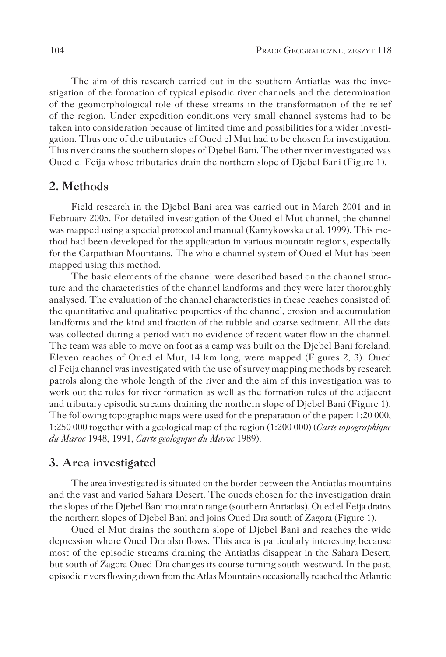The aim of this research carried out in the southern Antiatlas was the investigation of the formation of typical episodic river channels and the determination of the geomorphological role of these streams in the transformation of the relief of the region. Under expedition conditions very small channel systems had to be taken into consideration because of limited time and possibilities for a wider investigation. Thus one of the tributaries of Oued el Mut had to be chosen for investigation. This river drains the southern slopes of Djebel Bani. The other river investigated was Oued el Feija whose tributaries drain the northern slope of Djebel Bani (Figure 1).

### **2. Methods**

Field research in the Djebel Bani area was carried out in March 2001 and in February 2005. For detailed investigation of the Oued el Mut channel, the channel was mapped using a special protocol and manual (Kamykowska et al. 1999). This method had been developed for the application in various mountain regions, especially for the Carpathian Mountains. The whole channel system of Oued el Mut has been mapped using this method.

The basic elements of the channel were described based on the channel structure and the characteristics of the channel landforms and they were later thoroughly analysed. The evaluation of the channel characteristics in these reaches consisted of: the quantitative and qualitative properties of the channel, erosion and accumulation landforms and the kind and fraction of the rubble and coarse sediment. All the data was collected during a period with no evidence of recent water flow in the channel. The team was able to move on foot as a camp was built on the Djebel Bani foreland. Eleven reaches of Oued el Mut, 14 km long, were mapped (Figures 2, 3). Oued el Feija channel was investigated with the use of survey mapping methods by research patrols along the whole length of the river and the aim of this investigation was to work out the rules for river formation as well as the formation rules of the adjacent and tributary episodic streams draining the northern slope of Djebel Bani (Figure 1). The following topographic maps were used for the preparation of the paper: 1:20 000, 1:250 000 together with a geological map of the region (1:200 000) (*Carte topographique du Maroc* 1948, 1991, *Carte geologique du Maroc* 1989).

#### **3. Area investigated**

The area investigated is situated on the border between the Antiatlas mountains and the vast and varied Sahara Desert. The oueds chosen for the investigation drain the slopes of the Djebel Bani mountain range (southern Antiatlas). Oued el Feija drains the northern slopes of Djebel Bani and joins Oued Dra south of Zagora (Figure 1).

Oued el Mut drains the southern slope of Djebel Bani and reaches the wide depression where Oued Dra also flows. This area is particularly interesting because most of the episodic streams draining the Antiatlas disappear in the Sahara Desert, but south of Zagora Oued Dra changes its course turning south-westward. In the past, episodic rivers flowing down from the Atlas Mountains occasionally reached the Atlantic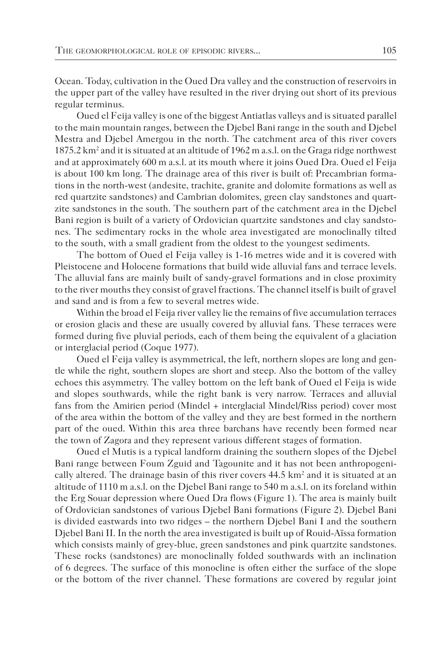Ocean. Today, cultivation in the Oued Dra valley and the construction of reservoirs in the upper part of the valley have resulted in the river drying out short of its previous regular terminus.

Oued el Feija valley is one of the biggest Antiatlas valleys and is situated parallel to the main mountain ranges, between the Djebel Bani range in the south and Djebel Mestra and Djebel Amergou in the north. The catchment area of this river covers 1875.2 km<sup>2</sup> and it is situated at an altitude of 1962 m a.s.l. on the Graga ridge northwest and at approximately 600 m a.s.l. at its mouth where it joins Oued Dra. Oued el Feija is about 100 km long. The drainage area of this river is built of: Precambrian formations in the north-west (andesite, trachite, granite and dolomite formations as well as red quartzite sandstones) and Cambrian dolomites, green clay sandstones and quartzite sandstones in the south. The southern part of the catchment area in the Djebel Bani region is built of a variety of Ordovician quartzite sandstones and clay sandstones. The sedimentary rocks in the whole area investigated are monoclinally tilted to the south, with a small gradient from the oldest to the youngest sediments.

The bottom of Oued el Feija valley is 1-16 metres wide and it is covered with Pleistocene and Holocene formations that build wide alluvial fans and terrace levels. The alluvial fans are mainly built of sandy-gravel formations and in close proximity to the river mouths they consist of gravel fractions. The channel itself is built of gravel and sand and is from a few to several metres wide.

Within the broad el Feija river valley lie the remains of five accumulation terraces or erosion glacis and these are usually covered by alluvial fans. These terraces were formed during five pluvial periods, each of them being the equivalent of a glaciation or interglacial period (Coque 1977).

Oued el Feija valley is asymmetrical, the left, northern slopes are long and gentle while the right, southern slopes are short and steep. Also the bottom of the valley echoes this asymmetry. The valley bottom on the left bank of Oued el Feija is wide and slopes southwards, while the right bank is very narrow. Terraces and alluvial fans from the Amirien period (Mindel + interglacial Mindel/Riss period) cover most of the area within the bottom of the valley and they are best formed in the northern part of the oued. Within this area three barchans have recently been formed near the town of Zagora and they represent various different stages of formation.

Oued el Mutis is a typical landform draining the southern slopes of the Djebel Bani range between Foum Zguid and Tagounite and it has not been anthropogenically altered. The drainage basin of this river covers  $44.5 \text{ km}^2$  and it is situated at an altitude of 1110 m a.s.l. on the Djebel Bani range to 540 m a.s.l. on its foreland within the Erg Souar depression where Oued Dra flows (Figure 1). The area is mainly built of Ordovician sandstones of various Djebel Bani formations (Figure 2). Djebel Bani is divided eastwards into two ridges – the northern Djebel Bani I and the southern Djebel Bani II. In the north the area investigated is built up of Rouid-Aïssa formation which consists mainly of grey-blue, green sandstones and pink quartzite sandstones. These rocks (sandstones) are monoclinally folded southwards with an inclination of 6 degrees. The surface of this monocline is often either the surface of the slope or the bottom of the river channel. These formations are covered by regular joint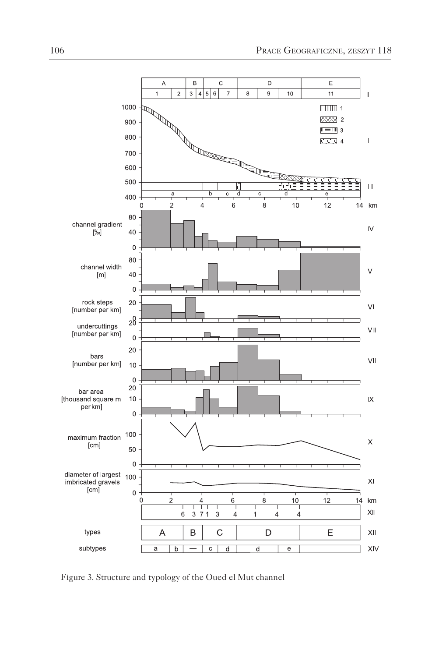

Figure 3. Structure and typology of the Oued el Mut channel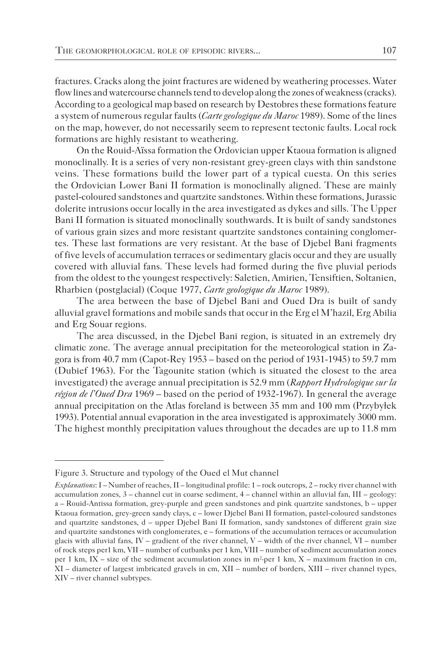fractures. Cracks along the joint fractures are widened by weathering processes. Water flow lines and watercourse channels tend to develop along the zones of weakness (cracks). According to a geological map based on research by Destobres these formations feature a system of numerous regular faults (*Carte geologique du Maroc* 1989). Some of the lines on the map, however, do not necessarily seem to represent tectonic faults. Local rock formations are highly resistant to weathering.

On the Rouid-Aïssa formation the Ordovician upper Ktaoua formation is aligned monoclinally. It is a series of very non-resistant grey-green clays with thin sandstone veins. These formations build the lower part of a typical cuesta. On this series the Ordovician Lower Bani II formation is monoclinally aligned. These are mainly pastel-coloured sandstones and quartzite sandstones. Within these formations, Jurassic dolerite intrusions occur locally in the area investigated as dykes and sills. The Upper Bani II formation is situated monoclinally southwards. It is built of sandy sandstones of various grain sizes and more resistant quartzite sandstones containing conglomertes. These last formations are very resistant. At the base of Djebel Bani fragments of five levels of accumulation terraces or sedimentary glacis occur and they are usually covered with alluvial fans. These levels had formed during the five pluvial periods from the oldest to the youngest respectively: Saletien, Amirien, Tensiftien, Soltanien, Rharbien (postglacial) (Coque 1977, *Carte geologique du Maroc* 1989).

The area between the base of Djebel Bani and Oued Dra is built of sandy alluvial gravel formations and mobile sands that occur in the Erg el M'hazil, Erg Abilia and Erg Souar regions.

The area discussed, in the Djebel Bani region, is situated in an extremely dry climatic zone. The average annual precipitation for the meteorological station in Zagora is from 40.7 mm (Capot-Rey 1953 – based on the period of 1931-1945) to 59.7 mm (Dubief 1963). For the Tagounite station (which is situated the closest to the area investigated) the average annual precipitation is 52.9 mm (*Rapport Hydrologique sur la région de l'Oued Dra* 1969 – based on the period of 1932-1967). In general the average annual precipitation on the Atlas foreland is between 35 mm and 100 mm (Przybyłek 1993). Potential annual evaporation in the area investigated is approximately 3000 mm. The highest monthly precipitation values throughout the decades are up to 11.8 mm

Figure 3. Structure and typology of the Oued el Mut channel

*Explanations*: I – Number of reaches, II – longitudinal profile: 1 – rock outcrops, 2 – rocky river channel with accumulation zones, 3 – channel cut in coarse sediment, 4 – channel within an alluvial fan, III – geology: a – Rouid-Antissa formation, grey-purple and green sandstones and pink quartzite sandstones, b – upper Ktaoua formation, grey-green sandy clays, c – lower Djebel Bani II formation, pastel-coloured sandstones and quartzite sandstones, d – upper Djebel Bani II formation, sandy sandstones of different grain size and quartzite sandstones with conglomerates, e – formations of the accumulation terraces or accumulation glacis with alluvial fans,  $IV - gradient$  of the river channel,  $V - width$  of the river channel,  $VI - number$ of rock steps per1 km, VII – number of cutbanks per 1 km, VIII – number of sediment accumulation zones per 1 km, IX – size of the sediment accumulation zones in  $m^2$ -per 1 km, X – maximum fraction in cm, XI – diameter of largest imbricated gravels in cm, XII – number of borders, XIII – river channel types, XIV – river channel subtypes.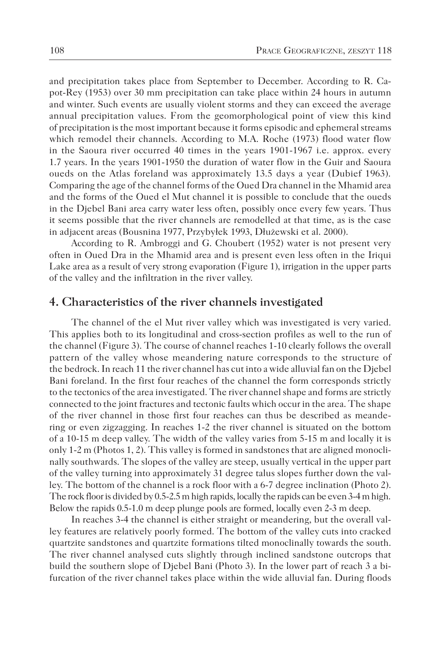and precipitation takes place from September to December. According to R. Capot-Rey (1953) over 30 mm precipitation can take place within 24 hours in autumn and winter. Such events are usually violent storms and they can exceed the average annual precipitation values. From the geomorphological point of view this kind of precipitation is the most important because it forms episodic and ephemeral streams which remodel their channels. According to M.A. Roche (1973) flood water flow in the Saoura river occurred 40 times in the years 1901-1967 i.e. approx. every 1.7 years. In the years 1901-1950 the duration of water flow in the Guir and Saoura oueds on the Atlas foreland was approximately 13.5 days a year (Dubief 1963). Comparing the age of the channel forms of the Oued Dra channel in the Mhamid area and the forms of the Oued el Mut channel it is possible to conclude that the oueds in the Djebel Bani area carry water less often, possibly once every few years. Thus it seems possible that the river channels are remodelled at that time, as is the case in adjacent areas (Bousnina 1977, Przybyłek 1993, Dłużewski et al. 2000).

According to R. Ambroggi and G. Choubert (1952) water is not present very often in Oued Dra in the Mhamid area and is present even less often in the Iriqui Lake area as a result of very strong evaporation (Figure 1), irrigation in the upper parts of the valley and the infiltration in the river valley.

#### **4. Characteristics of the river channels investigated**

The channel of the el Mut river valley which was investigated is very varied. This applies both to its longitudinal and cross-section profiles as well to the run of the channel (Figure 3). The course of channel reaches 1-10 clearly follows the overall pattern of the valley whose meandering nature corresponds to the structure of the bedrock. In reach 11 the river channel has cut into a wide alluvial fan on the Djebel Bani foreland. In the first four reaches of the channel the form corresponds strictly to the tectonics of the area investigated. The river channel shape and forms are strictly connected to the joint fractures and tectonic faults which occur in the area. The shape of the river channel in those first four reaches can thus be described as meandering or even zigzagging. In reaches 1-2 the river channel is situated on the bottom of a 10-15 m deep valley. The width of the valley varies from 5-15 m and locally it is only 1-2 m (Photos 1, 2). This valley is formed in sandstones that are aligned monoclinally southwards. The slopes of the valley are steep, usually vertical in the upper part of the valley turning into approximately 31 degree talus slopes further down the valley. The bottom of the channel is a rock floor with a 6-7 degree inclination (Photo 2). The rock floor is divided by 0.5-2.5 m high rapids, locally the rapids can be even 3-4 m high. Below the rapids 0.5-1.0 m deep plunge pools are formed, locally even 2-3 m deep.

In reaches 3-4 the channel is either straight or meandering, but the overall valley features are relatively poorly formed. The bottom of the valley cuts into cracked quartzite sandstones and quartzite formations tilted monoclinally towards the south. The river channel analysed cuts slightly through inclined sandstone outcrops that build the southern slope of Djebel Bani (Photo 3). In the lower part of reach 3 a bifurcation of the river channel takes place within the wide alluvial fan. During floods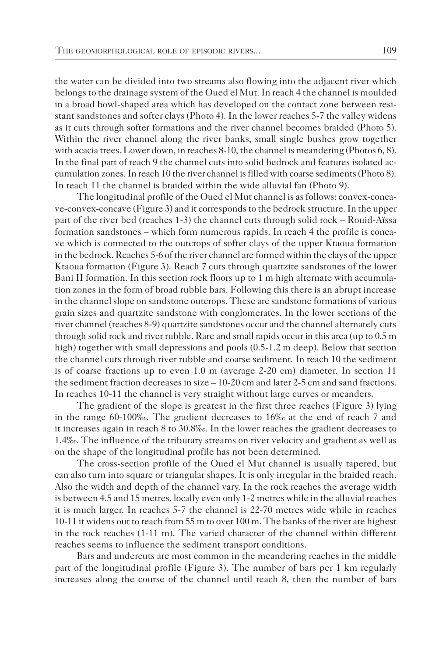the water can be divided into two streams also flowing into the adjacent river which belongs to the drainage system of the Oued el Mut. In reach 4 the channel is moulded in a broad bowl-shaped area which has developed on the contact zone between resistant sandstones and softer clays (Photo 4). In the lower reaches 5-7 the valley widens as it cuts through softer formations and the river channel becomes braided (Photo 5). Within the river channel along the river banks, small single bushes grow together with acacia trees. Lower down, in reaches 8-10, the channel is meandering (Photos 6, 8). In the final part of reach 9 the channel cuts into solid bedrock and features isolated accumulation zones. In reach 10 the river channel is filled with coarse sediments (Photo 8). In reach 11 the channel is braided within the wide alluvial fan (Photo 9).

The longitudinal profile of the Oued el Mut channel is as follows: convex-concave-convex-concave (Figure 3) and it corresponds to the bedrock structure. In the upper part of the river bed (reaches 1-3) the channel cuts through solid rock – Rouid-Aïssa formation sandstones – which form numerous rapids. In reach 4 the profile is concave which is connected to the outcrops of softer clays of the upper Ktaoua formation in the bedrock. Reaches 5-6 of the river channel are formed within the clays of the upper Ktaoua formation (Figure 3). Reach 7 cuts through quartzite sandstones of the lower Bani II formation. In this section rock floors up to 1 m high alternate with accumulation zones in the form of broad rubble bars. Following this there is an abrupt increase in the channel slope on sandstone outcrops. These are sandstone formations of various grain sizes and quartzite sandstone with conglomerates. In the lower sections of the river channel (reaches 8-9) quartzite sandstones occur and the channel alternately cuts through solid rock and river rubble. Rare and small rapids occur in this area (up to 0.5 m high) together with small depressions and pools (0.5-1.2 m deep). Below that section the channel cuts through river rubble and coarse sediment. In reach 10 the sediment is of coarse fractions up to even 1.0 m (average 2-20 cm) diameter. In section 11 the sediment fraction decreases in size – 10-20 cm and later 2-5 cm and sand fractions. In reaches 10-11 the channel is very straight without large curves or meanders.

The gradient of the slope is greatest in the first three reaches (Figure 3) lying in the range 60-100‰. The gradient decreases to 16‰ at the end of reach 7 and it increases again in reach 8 to 30.8‰. In the lower reaches the gradient decreases to 1.4‰. The influence of the tributary streams on river velocity and gradient as well as on the shape of the longitudinal profile has not been determined.

The cross-section profile of the Oued el Mut channel is usually tapered, but can also turn into square or triangular shapes. It is only irregular in the braided reach. Also the width and depth of the channel vary. In the rock reaches the average width is between 4.5 and 15 metres, locally even only 1-2 metres while in the alluvial reaches it is much larger. In reaches 5-7 the channel is 22-70 metres wide while in reaches 10-11 it widens out to reach from 55 m to over 100 m. The banks of the river are highest in the rock reaches (1-11 m). The varied character of the channel within different reaches seems to influence the sediment transport conditions.

Bars and undercuts are most common in the meandering reaches in the middle part of the longitudinal profile (Figure 3). The number of bars per 1 km regularly increases along the course of the channel until reach 8, then the number of bars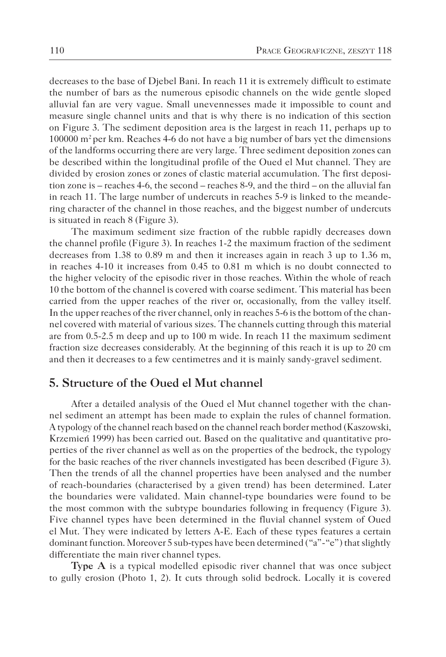decreases to the base of Djebel Bani. In reach 11 it is extremely difficult to estimate the number of bars as the numerous episodic channels on the wide gentle sloped alluvial fan are very vague. Small unevennesses made it impossible to count and measure single channel units and that is why there is no indication of this section on Figure 3. The sediment deposition area is the largest in reach 11, perhaps up to 100000  $\text{m}^2$  per km. Reaches 4-6 do not have a big number of bars yet the dimensions of the landforms occurring there are very large. Three sediment deposition zones can be described within the longitudinal profile of the Oued el Mut channel. They are divided by erosion zones or zones of clastic material accumulation. The first deposition zone is – reaches 4-6, the second – reaches 8-9, and the third – on the alluvial fan in reach 11. The large number of undercuts in reaches 5-9 is linked to the meandering character of the channel in those reaches, and the biggest number of undercuts is situated in reach 8 (Figure 3).

The maximum sediment size fraction of the rubble rapidly decreases down the channel profile (Figure 3). In reaches 1-2 the maximum fraction of the sediment decreases from 1.38 to 0.89 m and then it increases again in reach 3 up to 1.36 m, in reaches 4-10 it increases from 0.45 to 0.81 m which is no doubt connected to the higher velocity of the episodic river in those reaches. Within the whole of reach 10 the bottom of the channel is covered with coarse sediment. This material has been carried from the upper reaches of the river or, occasionally, from the valley itself. In the upper reaches of the river channel, only in reaches 5-6 is the bottom of the channel covered with material of various sizes. The channels cutting through this material are from 0.5-2.5 m deep and up to 100 m wide. In reach 11 the maximum sediment fraction size decreases considerably. At the beginning of this reach it is up to 20 cm and then it decreases to a few centimetres and it is mainly sandy-gravel sediment.

## **5. Structure of the Oued el Mut channel**

After a detailed analysis of the Oued el Mut channel together with the channel sediment an attempt has been made to explain the rules of channel formation. A typology of the channel reach based on the channel reach border method (Kaszowski, Krzemień 1999) has been carried out. Based on the qualitative and quantitative properties of the river channel as well as on the properties of the bedrock, the typology for the basic reaches of the river channels investigated has been described (Figure 3). Then the trends of all the channel properties have been analysed and the number of reach-boundaries (characterised by a given trend) has been determined. Later the boundaries were validated. Main channel-type boundaries were found to be the most common with the subtype boundaries following in frequency (Figure 3). Five channel types have been determined in the fluvial channel system of Oued el Mut. They were indicated by letters A-E. Each of these types features a certain dominant function. Moreover 5 sub-types have been determined ("a"-"e") that slightly differentiate the main river channel types.

**Type A** is a typical modelled episodic river channel that was once subject to gully erosion (Photo 1, 2). It cuts through solid bedrock. Locally it is covered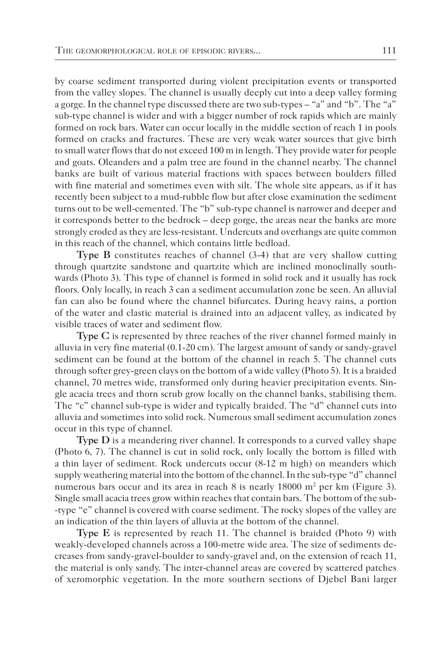by coarse sediment transported during violent precipitation events or transported from the valley slopes. The channel is usually deeply cut into a deep valley forming a gorge. In the channel type discussed there are two sub-types – "a" and "b". The "a" sub-type channel is wider and with a bigger number of rock rapids which are mainly formed on rock bars. Water can occur locally in the middle section of reach 1 in pools formed on cracks and fractures. These are very weak water sources that give birth to small water flows that do not exceed 100 m in length. They provide water for people and goats. Oleanders and a palm tree are found in the channel nearby. The channel banks are built of various material fractions with spaces between boulders filled with fine material and sometimes even with silt. The whole site appears, as if it has recently been subject to a mud-rubble flow but after close examination the sediment turns out to be well-cemented. The "b" sub-type channel is narrower and deeper and it corresponds better to the bedrock – deep gorge, the areas near the banks are more strongly eroded as they are less-resistant. Undercuts and overhangs are quite common in this reach of the channel, which contains little bedload.

**Type B** constitutes reaches of channel (3-4) that are very shallow cutting through quartzite sandstone and quartzite which are inclined monoclinally southwards (Photo 3). This type of channel is formed in solid rock and it usually has rock floors. Only locally, in reach 3 can a sediment accumulation zone be seen. An alluvial fan can also be found where the channel bifurcates. During heavy rains, a portion of the water and clastic material is drained into an adjacent valley, as indicated by visible traces of water and sediment flow.

**Type C** is represented by three reaches of the river channel formed mainly in alluvia in very fine material (0.1-20 cm). The largest amount of sandy or sandy-gravel sediment can be found at the bottom of the channel in reach 5. The channel cuts through softer grey-green clays on the bottom of a wide valley (Photo 5). It is a braided channel, 70 metres wide, transformed only during heavier precipitation events. Single acacia trees and thorn scrub grow locally on the channel banks, stabilising them. The "c" channel sub-type is wider and typically braided. The "d" channel cuts into alluvia and sometimes into solid rock. Numerous small sediment accumulation zones occur in this type of channel.

**Type D** is a meandering river channel. It corresponds to a curved valley shape (Photo 6, 7). The channel is cut in solid rock, only locally the bottom is filled with a thin layer of sediment. Rock undercuts occur (8-12 m high) on meanders which supply weathering material into the bottom of the channel. In the sub-type "d" channel numerous bars occur and its area in reach 8 is nearly  $18000 \text{ m}^2$  per km (Figure 3). Single small acacia trees grow within reaches that contain bars. The bottom of the sub- -type "e" channel is covered with coarse sediment. The rocky slopes of the valley are an indication of the thin layers of alluvia at the bottom of the channel.

**Type E** is represented by reach 11. The channel is braided (Photo 9) with weakly-developed channels across a 100-metre wide area. The size of sediments decreases from sandy-gravel-boulder to sandy-gravel and, on the extension of reach 11, the material is only sandy. The inter-channel areas are covered by scattered patches of xeromorphic vegetation. In the more southern sections of Djebel Bani larger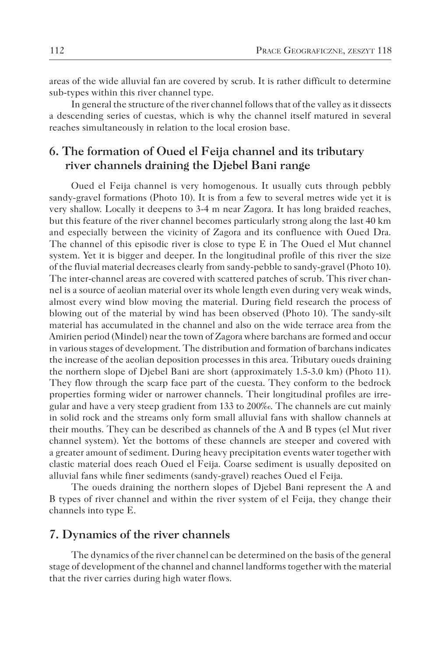areas of the wide alluvial fan are covered by scrub. It is rather difficult to determine sub-types within this river channel type.

In general the structure of the river channel follows that of the valley as it dissects a descending series of cuestas, which is why the channel itself matured in several reaches simultaneously in relation to the local erosion base.

# **6. The formation of Oued el Feija channel and its tributary river channels draining the Djebel Bani range**

Oued el Feija channel is very homogenous. It usually cuts through pebbly sandy-gravel formations (Photo 10). It is from a few to several metres wide yet it is very shallow. Locally it deepens to 3-4 m near Zagora. It has long braided reaches, but this feature of the river channel becomes particularly strong along the last 40 km and especially between the vicinity of Zagora and its confluence with Oued Dra. The channel of this episodic river is close to type E in The Oued el Mut channel system. Yet it is bigger and deeper. In the longitudinal profile of this river the size of the fluvial material decreases clearly from sandy-pebble to sandy-gravel (Photo 10). The inter-channel areas are covered with scattered patches of scrub. This river channel is a source of aeolian material over its whole length even during very weak winds, almost every wind blow moving the material. During field research the process of blowing out of the material by wind has been observed (Photo 10). The sandy-silt material has accumulated in the channel and also on the wide terrace area from the Amirien period (Mindel) near the town of Zagora where barchans are formed and occur in various stages of development. The distribution and formation of barchans indicates the increase of the aeolian deposition processes in this area. Tributary oueds draining the northern slope of Djebel Bani are short (approximately 1.5-3.0 km) (Photo 11). They flow through the scarp face part of the cuesta. They conform to the bedrock properties forming wider or narrower channels. Their longitudinal profiles are irregular and have a very steep gradient from 133 to 200‰. The channels are cut mainly in solid rock and the streams only form small alluvial fans with shallow channels at their mouths. They can be described as channels of the A and B types (el Mut river channel system). Yet the bottoms of these channels are steeper and covered with a greater amount of sediment. During heavy precipitation events water together with clastic material does reach Oued el Feija. Coarse sediment is usually deposited on alluvial fans while finer sediments (sandy-gravel) reaches Oued el Feija.

The oueds draining the northern slopes of Djebel Bani represent the A and B types of river channel and within the river system of el Feija, they change their channels into type E.

#### **7. Dynamics of the river channels**

The dynamics of the river channel can be determined on the basis of the general stage of development of the channel and channel landforms together with the material that the river carries during high water flows.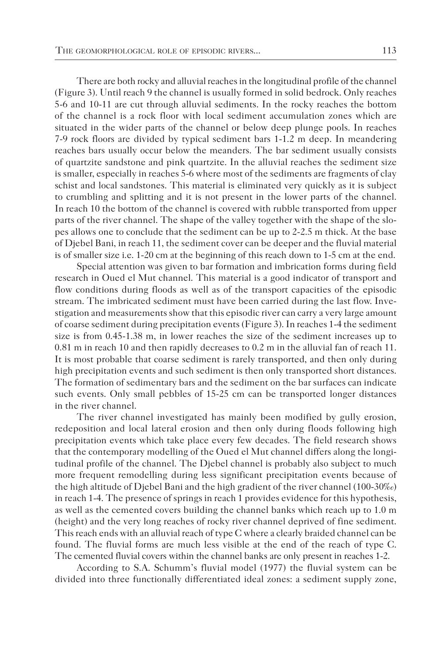There are both rocky and alluvial reaches in the longitudinal profile of the channel (Figure 3). Until reach 9 the channel is usually formed in solid bedrock. Only reaches 5-6 and 10-11 are cut through alluvial sediments. In the rocky reaches the bottom of the channel is a rock floor with local sediment accumulation zones which are situated in the wider parts of the channel or below deep plunge pools. In reaches 7-9 rock floors are divided by typical sediment bars 1-1.2 m deep. In meandering reaches bars usually occur below the meanders. The bar sediment usually consists of quartzite sandstone and pink quartzite. In the alluvial reaches the sediment size is smaller, especially in reaches 5-6 where most of the sediments are fragments of clay schist and local sandstones. This material is eliminated very quickly as it is subject to crumbling and splitting and it is not present in the lower parts of the channel. In reach 10 the bottom of the channel is covered with rubble transported from upper parts of the river channel. The shape of the valley together with the shape of the slopes allows one to conclude that the sediment can be up to 2-2.5 m thick. At the base of Djebel Bani, in reach 11, the sediment cover can be deeper and the fluvial material is of smaller size i.e. 1-20 cm at the beginning of this reach down to 1-5 cm at the end.

Special attention was given to bar formation and imbrication forms during field research in Oued el Mut channel. This material is a good indicator of transport and flow conditions during floods as well as of the transport capacities of the episodic stream. The imbricated sediment must have been carried during the last flow. Investigation and measurements show that this episodic river can carry a very large amount of coarse sediment during precipitation events (Figure 3). In reaches 1-4 the sediment size is from 0.45-1.38 m, in lower reaches the size of the sediment increases up to 0.81 m in reach 10 and then rapidly decreases to 0.2 m in the alluvial fan of reach 11. It is most probable that coarse sediment is rarely transported, and then only during high precipitation events and such sediment is then only transported short distances. The formation of sedimentary bars and the sediment on the bar surfaces can indicate such events. Only small pebbles of 15-25 cm can be transported longer distances in the river channel.

The river channel investigated has mainly been modified by gully erosion, redeposition and local lateral erosion and then only during floods following high precipitation events which take place every few decades. The field research shows that the contemporary modelling of the Oued el Mut channel differs along the longitudinal profile of the channel. The Djebel channel is probably also subject to much more frequent remodelling during less significant precipitation events because of the high altitude of Djebel Bani and the high gradient of the river channel (100-30‰) in reach 1-4. The presence of springs in reach 1 provides evidence for this hypothesis, as well as the cemented covers building the channel banks which reach up to 1.0 m (height) and the very long reaches of rocky river channel deprived of fine sediment. This reach ends with an alluvial reach of type C where a clearly braided channel can be found. The fluvial forms are much less visible at the end of the reach of type C. The cemented fluvial covers within the channel banks are only present in reaches 1-2.

According to S.A. Schumm's fluvial model (1977) the fluvial system can be divided into three functionally differentiated ideal zones: a sediment supply zone,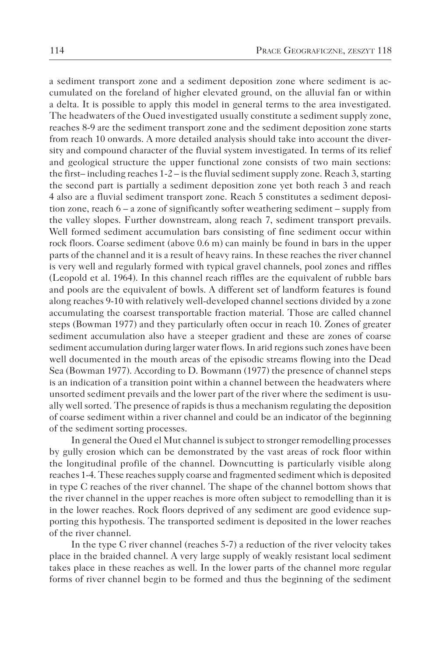a sediment transport zone and a sediment deposition zone where sediment is accumulated on the foreland of higher elevated ground, on the alluvial fan or within a delta. It is possible to apply this model in general terms to the area investigated. The headwaters of the Oued investigated usually constitute a sediment supply zone, reaches 8-9 are the sediment transport zone and the sediment deposition zone starts from reach 10 onwards. A more detailed analysis should take into account the diversity and compound character of the fluvial system investigated. In terms of its relief and geological structure the upper functional zone consists of two main sections: the first–including reaches  $1-2$  – is the fluvial sediment supply zone. Reach 3, starting the second part is partially a sediment deposition zone yet both reach 3 and reach 4 also are a fluvial sediment transport zone. Reach 5 constitutes a sediment deposition zone, reach 6 – a zone of significantly softer weathering sediment – supply from the valley slopes. Further downstream, along reach 7, sediment transport prevails. Well formed sediment accumulation bars consisting of fine sediment occur within rock floors. Coarse sediment (above 0.6 m) can mainly be found in bars in the upper parts of the channel and it is a result of heavy rains. In these reaches the river channel is very well and regularly formed with typical gravel channels, pool zones and riffles (Leopold et al. 1964). In this channel reach riffles are the equivalent of rubble bars and pools are the equivalent of bowls. A different set of landform features is found along reaches 9-10 with relatively well-developed channel sections divided by a zone accumulating the coarsest transportable fraction material. Those are called channel steps (Bowman 1977) and they particularly often occur in reach 10. Zones of greater sediment accumulation also have a steeper gradient and these are zones of coarse sediment accumulation during larger water flows. In arid regions such zones have been well documented in the mouth areas of the episodic streams flowing into the Dead Sea (Bowman 1977). According to D. Bowmann (1977) the presence of channel steps is an indication of a transition point within a channel between the headwaters where unsorted sediment prevails and the lower part of the river where the sediment is usually well sorted. The presence of rapids is thus a mechanism regulating the deposition of coarse sediment within a river channel and could be an indicator of the beginning of the sediment sorting processes.

In general the Oued el Mut channel is subject to stronger remodelling processes by gully erosion which can be demonstrated by the vast areas of rock floor within the longitudinal profile of the channel. Downcutting is particularly visible along reaches 1-4. These reaches supply coarse and fragmented sediment which is deposited in type C reaches of the river channel. The shape of the channel bottom shows that the river channel in the upper reaches is more often subject to remodelling than it is in the lower reaches. Rock floors deprived of any sediment are good evidence supporting this hypothesis. The transported sediment is deposited in the lower reaches of the river channel.

In the type C river channel (reaches 5-7) a reduction of the river velocity takes place in the braided channel. A very large supply of weakly resistant local sediment takes place in these reaches as well. In the lower parts of the channel more regular forms of river channel begin to be formed and thus the beginning of the sediment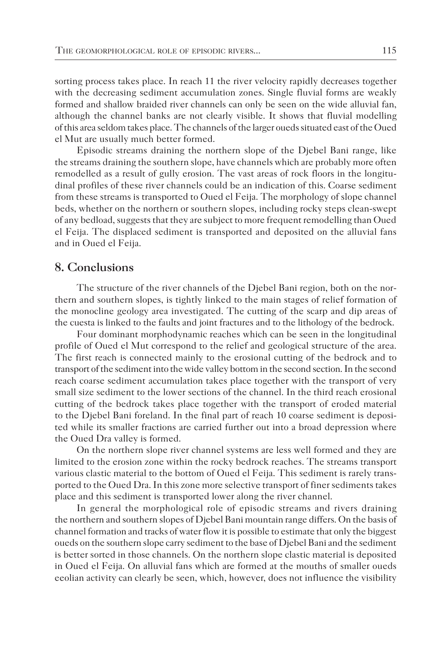sorting process takes place. In reach 11 the river velocity rapidly decreases together with the decreasing sediment accumulation zones. Single fluvial forms are weakly formed and shallow braided river channels can only be seen on the wide alluvial fan, although the channel banks are not clearly visible. It shows that fluvial modelling of this area seldom takes place. The channels of the larger oueds situated east of the Oued el Mut are usually much better formed.

Episodic streams draining the northern slope of the Djebel Bani range, like the streams draining the southern slope, have channels which are probably more often remodelled as a result of gully erosion. The vast areas of rock floors in the longitudinal profiles of these river channels could be an indication of this. Coarse sediment from these streams is transported to Oued el Feija. The morphology of slope channel beds, whether on the northern or southern slopes, including rocky steps clean-swept of any bedload, suggests that they are subject to more frequent remodelling than Oued el Feija. The displaced sediment is transported and deposited on the alluvial fans and in Oued el Feija.

## **8. Conclusions**

The structure of the river channels of the Djebel Bani region, both on the northern and southern slopes, is tightly linked to the main stages of relief formation of the monocline geology area investigated. The cutting of the scarp and dip areas of the cuesta is linked to the faults and joint fractures and to the lithology of the bedrock.

Four dominant morphodynamic reaches which can be seen in the longitudinal profile of Oued el Mut correspond to the relief and geological structure of the area. The first reach is connected mainly to the erosional cutting of the bedrock and to transport of the sediment into the wide valley bottom in the second section. In the second reach coarse sediment accumulation takes place together with the transport of very small size sediment to the lower sections of the channel. In the third reach erosional cutting of the bedrock takes place together with the transport of eroded material to the Djebel Bani foreland. In the final part of reach 10 coarse sediment is deposited while its smaller fractions are carried further out into a broad depression where the Oued Dra valley is formed.

On the northern slope river channel systems are less well formed and they are limited to the erosion zone within the rocky bedrock reaches. The streams transport various clastic material to the bottom of Oued el Feija. This sediment is rarely transported to the Oued Dra. In this zone more selective transport of finer sediments takes place and this sediment is transported lower along the river channel.

In general the morphological role of episodic streams and rivers draining the northern and southern slopes of Djebel Bani mountain range differs. On the basis of channel formation and tracks of water flow it is possible to estimate that only the biggest oueds on the southern slope carry sediment to the base of Djebel Bani and the sediment is better sorted in those channels. On the northern slope clastic material is deposited in Oued el Feija. On alluvial fans which are formed at the mouths of smaller oueds eeolian activity can clearly be seen, which, however, does not influence the visibility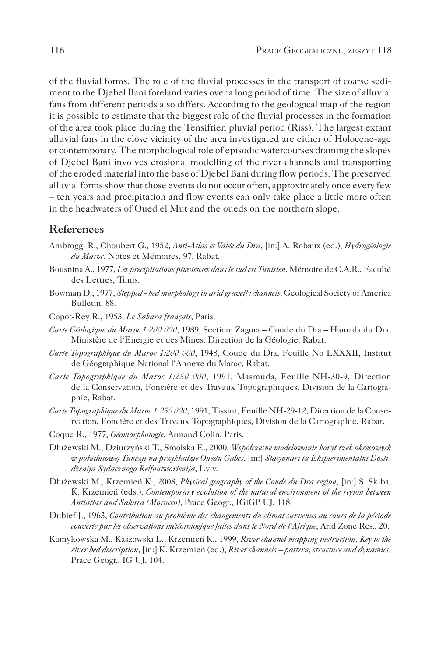of the fluvial forms. The role of the fluvial processes in the transport of coarse sediment to the Djebel Bani foreland varies over a long period of time. The size of alluvial fans from different periods also differs. According to the geological map of the region it is possible to estimate that the biggest role of the fluvial processes in the formation of the area took place during the Tensiftien pluvial period (Riss). The largest extant alluvial fans in the close vicinity of the area investigated are either of Holocene-age or contemporary. The morphological role of episodic watercourses draining the slopes of Djebel Bani involves erosional modelling of the river channels and transporting of the eroded material into the base of Djebel Bani during flow periods. The preserved alluvial forms show that those events do not occur often, approximately once every few – ten years and precipitation and flow events can only take place a little more often in the headwaters of Oued el Mut and the oueds on the northern slope.

#### **References**

- Ambroggi R., Choubert G., 1952**,** *Anti-Atlas et Valée du Dra*, [in:] A. Robaux (ed.), *Hydrogéologie du Maroc*, Notes et Mémoires, 97, Rabat.
- Bousnina A., 1977, *Les precipitations pluvieuses dans le sud est Tunisien*, Mémoire de C.A.R., Faculté des Lettres, Tunis.
- Bowman D., 1977, *Stepped bed morphology in arid gravelly channels*, Geological Society of America Bulletin, 88.
- Copot-Rey R., 1953, *Le Sahara français*, Paris.
- *Carte Géologique du Maroc 1:200 000*, 1989, Section: Zagora Coude du Dra Hamada du Dra, Ministère de l'Energie et des Mines, Direction de la Géologie, Rabat.
- *Carte Topographique du Maroc 1:200 000*, 1948, Coude du Dra, Feuille No LXXXII, Institut de Géographique National l'Annexe du Maroc, Rabat.
- *Carte Topographique du Maroc 1:250 000*, 1991, Masmuda, Feuille NH-30-9, Direction de la Conservation, Foncière et des Travaux Topographiques, Division de la Cartographie, Rabat.
- *Carte Topographique du Maroc 1:250 000*, 1991, Tissint, Feuille NH-29-12, Direction de la Conservation, Foncière et des Travaux Topographiques, Division de la Cartographie, Rabat.
- Coque R., 1977, *Géomorphologie*, Armand Colin, Paris.
- Dłużewski M., Dziurzyński T., Smolska E., 2000, *Współczesne modelowanie koryt rzek okresowych w południowej Tunezji na przykładzie Ouedu Gabes*, [in:] *Stacjonari ta Ekspierimentalni Dostidżenija Sydacznogo Relfoutworienija*, Lviv.
- Dłużewski M., Krzemień K., 2008, *Physical geography of the Coude du Dra region*, [in:] S. Skiba, K. Krzemień (eds.), *Contemporary evolution of the natural environment of the region between Antiatlas and Sahara (Morocco)*, Prace Geogr., IGiGP UJ, 118.
- Dubief J., 1963, *Contribution au problème des changements du climat survenus au cours de la période couverte par les observations météorologique faites dans le Nord de l'Afrique*, Arid Zone Res., 20.
- Kamykowska M., Kaszowski L., Krzemień K., 1999, *River channel mapping instruction. Key to the river bed description*, [in:] K. Krzemień (ed.), *River channels – pattern, structure and dynamics*, Prace Geogr., IG UJ, 104.